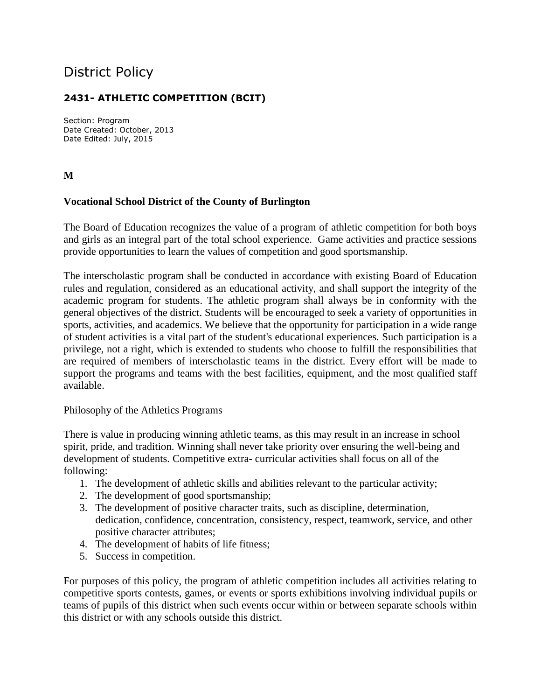# District Policy

# **2431- ATHLETIC COMPETITION (BCIT)**

Section: Program Date Created: October, 2013 Date Edited: July, 2015

**M**

## **Vocational School District of the County of Burlington**

The Board of Education recognizes the value of a program of athletic competition for both boys and girls as an integral part of the total school experience. Game activities and practice sessions provide opportunities to learn the values of competition and good sportsmanship.

The interscholastic program shall be conducted in accordance with existing Board of Education rules and regulation, considered as an educational activity, and shall support the integrity of the academic program for students. The athletic program shall always be in conformity with the general objectives of the district. Students will be encouraged to seek a variety of opportunities in sports, activities, and academics. We believe that the opportunity for participation in a wide range of student activities is a vital part of the student's educational experiences. Such participation is a privilege, not a right, which is extended to students who choose to fulfill the responsibilities that are required of members of interscholastic teams in the district. Every effort will be made to support the programs and teams with the best facilities, equipment, and the most qualified staff available.

#### Philosophy of the Athletics Programs

There is value in producing winning athletic teams, as this may result in an increase in school spirit, pride, and tradition. Winning shall never take priority over ensuring the well-being and development of students. Competitive extra- curricular activities shall focus on all of the following:

- 1. The development of athletic skills and abilities relevant to the particular activity;
- 2. The development of good sportsmanship;
- 3. The development of positive character traits, such as discipline, determination, dedication, confidence, concentration, consistency, respect, teamwork, service, and other positive character attributes;
- 4. The development of habits of life fitness;
- 5. Success in competition.

For purposes of this policy, the program of athletic competition includes all activities relating to competitive sports contests, games, or events or sports exhibitions involving individual pupils or teams of pupils of this district when such events occur within or between separate schools within this district or with any schools outside this district.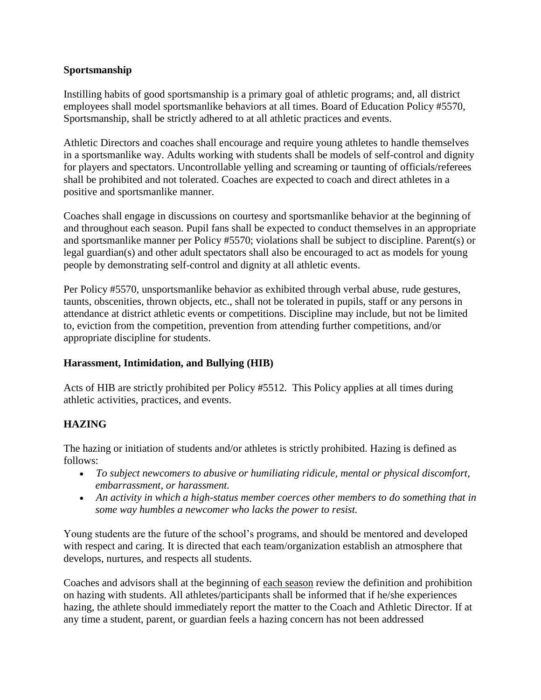### **Sportsmanship**

Instilling habits of good sportsmanship is a primary goal of athletic programs; and, all district employees shall model sportsmanlike behaviors at all times. Board of Education Policy #5570, Sportsmanship, shall be strictly adhered to at all athletic practices and events.

Athletic Directors and coaches shall encourage and require young athletes to handle themselves in a sportsmanlike way. Adults working with students shall be models of self-control and dignity for players and spectators. Uncontrollable yelling and screaming or taunting of officials/referees shall be prohibited and not tolerated. Coaches are expected to coach and direct athletes in a positive and sportsmanlike manner.

Coaches shall engage in discussions on courtesy and sportsmanlike behavior at the beginning of and throughout each season. Pupil fans shall be expected to conduct themselves in an appropriate and sportsmanlike manner per Policy #5570; violations shall be subject to discipline. Parent(s) or legal guardian(s) and other adult spectators shall also be encouraged to act as models for young people by demonstrating self-control and dignity at all athletic events.

Per Policy #5570, unsportsmanlike behavior as exhibited through verbal abuse, rude gestures, taunts, obscenities, thrown objects, etc., shall not be tolerated in pupils, staff or any persons in attendance at district athletic events or competitions. Discipline may include, but not be limited to, eviction from the competition, prevention from attending further competitions, and/or appropriate discipline for students.

## **Harassment, Intimidation, and Bullying (HIB)**

Acts of HIB are strictly prohibited per Policy #5512. This Policy applies at all times during athletic activities, practices, and events.

## **HAZING**

The hazing or initiation of students and/or athletes is strictly prohibited. Hazing is defined as follows:

- *To subject newcomers to abusive or humiliating ridicule, mental or physical discomfort, embarrassment, or harassment.*
- *An activity in which a high-status member coerces other members to do something that in some way humbles a newcomer who lacks the power to resist.*

Young students are the future of the school's programs, and should be mentored and developed with respect and caring. It is directed that each team/organization establish an atmosphere that develops, nurtures, and respects all students.

Coaches and advisors shall at the beginning of each season review the definition and prohibition on hazing with students. All athletes/participants shall be informed that if he/she experiences hazing, the athlete should immediately report the matter to the Coach and Athletic Director. If at any time a student, parent, or guardian feels a hazing concern has not been addressed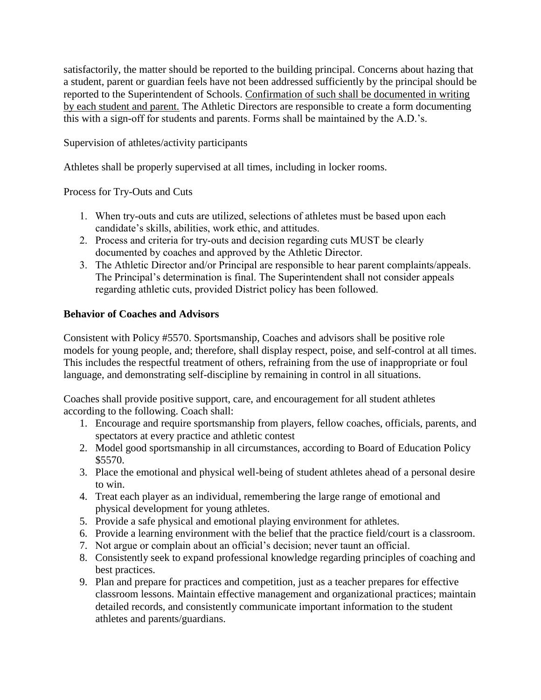satisfactorily, the matter should be reported to the building principal. Concerns about hazing that a student, parent or guardian feels have not been addressed sufficiently by the principal should be reported to the Superintendent of Schools. Confirmation of such shall be documented in writing by each student and parent. The Athletic Directors are responsible to create a form documenting this with a sign-off for students and parents. Forms shall be maintained by the A.D.'s.

Supervision of athletes/activity participants

Athletes shall be properly supervised at all times, including in locker rooms.

Process for Try-Outs and Cuts

- 1. When try-outs and cuts are utilized, selections of athletes must be based upon each candidate's skills, abilities, work ethic, and attitudes.
- 2. Process and criteria for try-outs and decision regarding cuts MUST be clearly documented by coaches and approved by the Athletic Director.
- 3. The Athletic Director and/or Principal are responsible to hear parent complaints/appeals. The Principal's determination is final. The Superintendent shall not consider appeals regarding athletic cuts, provided District policy has been followed.

# **Behavior of Coaches and Advisors**

Consistent with Policy #5570. Sportsmanship, Coaches and advisors shall be positive role models for young people, and; therefore, shall display respect, poise, and self-control at all times. This includes the respectful treatment of others, refraining from the use of inappropriate or foul language, and demonstrating self-discipline by remaining in control in all situations.

Coaches shall provide positive support, care, and encouragement for all student athletes according to the following. Coach shall:

- 1. Encourage and require sportsmanship from players, fellow coaches, officials, parents, and spectators at every practice and athletic contest
- 2. Model good sportsmanship in all circumstances, according to Board of Education Policy \$5570.
- 3. Place the emotional and physical well-being of student athletes ahead of a personal desire to win.
- 4. Treat each player as an individual, remembering the large range of emotional and physical development for young athletes.
- 5. Provide a safe physical and emotional playing environment for athletes.
- 6. Provide a learning environment with the belief that the practice field/court is a classroom.
- 7. Not argue or complain about an official's decision; never taunt an official.
- 8. Consistently seek to expand professional knowledge regarding principles of coaching and best practices.
- 9. Plan and prepare for practices and competition, just as a teacher prepares for effective classroom lessons. Maintain effective management and organizational practices; maintain detailed records, and consistently communicate important information to the student athletes and parents/guardians.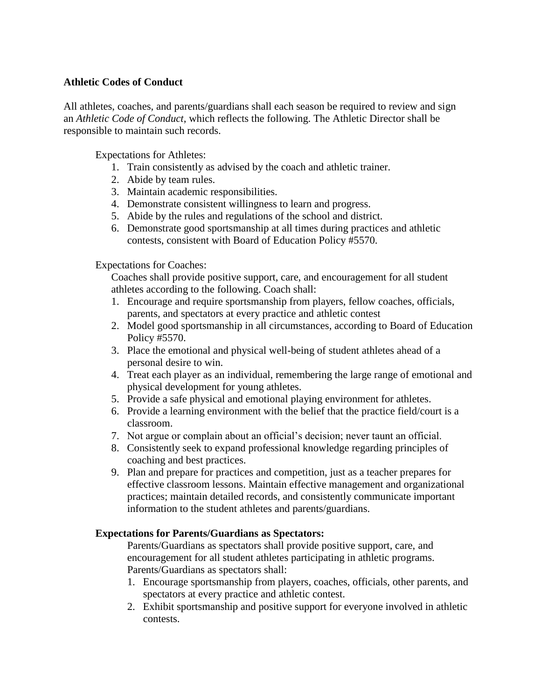#### **Athletic Codes of Conduct**

All athletes, coaches, and parents/guardians shall each season be required to review and sign an *Athletic Code of Conduct*, which reflects the following. The Athletic Director shall be responsible to maintain such records.

Expectations for Athletes:

- 1. Train consistently as advised by the coach and athletic trainer.
- 2. Abide by team rules.
- 3. Maintain academic responsibilities.
- 4. Demonstrate consistent willingness to learn and progress.
- 5. Abide by the rules and regulations of the school and district.
- 6. Demonstrate good sportsmanship at all times during practices and athletic contests, consistent with Board of Education Policy #5570.

Expectations for Coaches:

Coaches shall provide positive support, care, and encouragement for all student athletes according to the following. Coach shall:

- 1. Encourage and require sportsmanship from players, fellow coaches, officials, parents, and spectators at every practice and athletic contest
- 2. Model good sportsmanship in all circumstances, according to Board of Education Policy #5570.
- 3. Place the emotional and physical well-being of student athletes ahead of a personal desire to win.
- 4. Treat each player as an individual, remembering the large range of emotional and physical development for young athletes.
- 5. Provide a safe physical and emotional playing environment for athletes.
- 6. Provide a learning environment with the belief that the practice field/court is a classroom.
- 7. Not argue or complain about an official's decision; never taunt an official.
- 8. Consistently seek to expand professional knowledge regarding principles of coaching and best practices.
- 9. Plan and prepare for practices and competition, just as a teacher prepares for effective classroom lessons. Maintain effective management and organizational practices; maintain detailed records, and consistently communicate important information to the student athletes and parents/guardians.

#### **Expectations for Parents/Guardians as Spectators:**

Parents/Guardians as spectators shall provide positive support, care, and encouragement for all student athletes participating in athletic programs. Parents/Guardians as spectators shall:

- 1. Encourage sportsmanship from players, coaches, officials, other parents, and spectators at every practice and athletic contest.
- 2. Exhibit sportsmanship and positive support for everyone involved in athletic contests.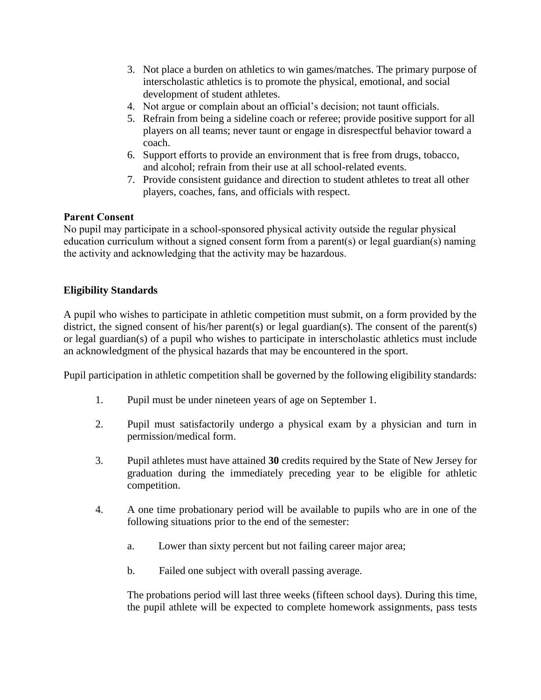- 3. Not place a burden on athletics to win games/matches. The primary purpose of interscholastic athletics is to promote the physical, emotional, and social development of student athletes.
- 4. Not argue or complain about an official's decision; not taunt officials.
- 5. Refrain from being a sideline coach or referee; provide positive support for all players on all teams; never taunt or engage in disrespectful behavior toward a coach.
- 6. Support efforts to provide an environment that is free from drugs, tobacco, and alcohol; refrain from their use at all school-related events.
- 7. Provide consistent guidance and direction to student athletes to treat all other players, coaches, fans, and officials with respect.

## Parent Consent

No pupil may participate in a school-sponsored physical activity outside the regular physical education curriculum without a signed consent form from a parent(s) or legal guardian(s) naming the activity and acknowledging that the activity may be hazardous.

# **Eligibility Standards**

A pupil who wishes to participate in athletic competition must submit, on a form provided by the district, the signed consent of his/her parent(s) or legal guardian(s). The consent of the parent(s) or legal guardian(s) of a pupil who wishes to participate in interscholastic athletics must include an acknowledgment of the physical hazards that may be encountered in the sport.

Pupil participation in athletic competition shall be governed by the following eligibility standards:

- 1. Pupil must be under nineteen years of age on September 1.
- 2. Pupil must satisfactorily undergo a physical exam by a physician and turn in permission/medical form.
- 3. Pupil athletes must have attained **30** credits required by the State of New Jersey for graduation during the immediately preceding year to be eligible for athletic competition.
- 4. A one time probationary period will be available to pupils who are in one of the following situations prior to the end of the semester:
	- a. Lower than sixty percent but not failing career major area;
	- b. Failed one subject with overall passing average.

The probations period will last three weeks (fifteen school days). During this time, the pupil athlete will be expected to complete homework assignments, pass tests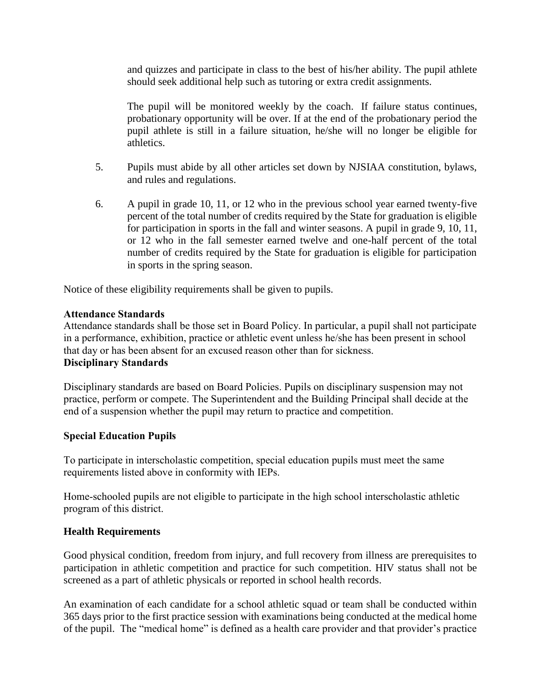and quizzes and participate in class to the best of his/her ability. The pupil athlete should seek additional help such as tutoring or extra credit assignments.

The pupil will be monitored weekly by the coach. If failure status continues, probationary opportunity will be over. If at the end of the probationary period the pupil athlete is still in a failure situation, he/she will no longer be eligible for athletics.

- 5. Pupils must abide by all other articles set down by NJSIAA constitution, bylaws, and rules and regulations.
- 6. A pupil in grade 10, 11, or 12 who in the previous school year earned twenty-five percent of the total number of credits required by the State for graduation is eligible for participation in sports in the fall and winter seasons. A pupil in grade 9, 10, 11, or 12 who in the fall semester earned twelve and one-half percent of the total number of credits required by the State for graduation is eligible for participation in sports in the spring season.

Notice of these eligibility requirements shall be given to pupils.

# Attendance Standards

Attendance standards shall be those set in Board Policy. In particular, a pupil shall not participate in a performance, exhibition, practice or athletic event unless he/she has been present in school that day or has been absent for an excused reason other than for sickness. Disciplinary Standards

Disciplinary standards are based on Board Policies. Pupils on disciplinary suspension may not practice, perform or compete. The Superintendent and the Building Principal shall decide at the end of a suspension whether the pupil may return to practice and competition.

# Special Education Pupils

To participate in interscholastic competition, special education pupils must meet the same requirements listed above in conformity with IEPs.

Home-schooled pupils are not eligible to participate in the high school interscholastic athletic program of this district.

## **Health Requirements**

Good physical condition, freedom from injury, and full recovery from illness are prerequisites to participation in athletic competition and practice for such competition. HIV status shall not be screened as a part of athletic physicals or reported in school health records.

An examination of each candidate for a school athletic squad or team shall be conducted within 365 days prior to the first practice session with examinations being conducted at the medical home of the pupil. The "medical home" is defined as a health care provider and that provider's practice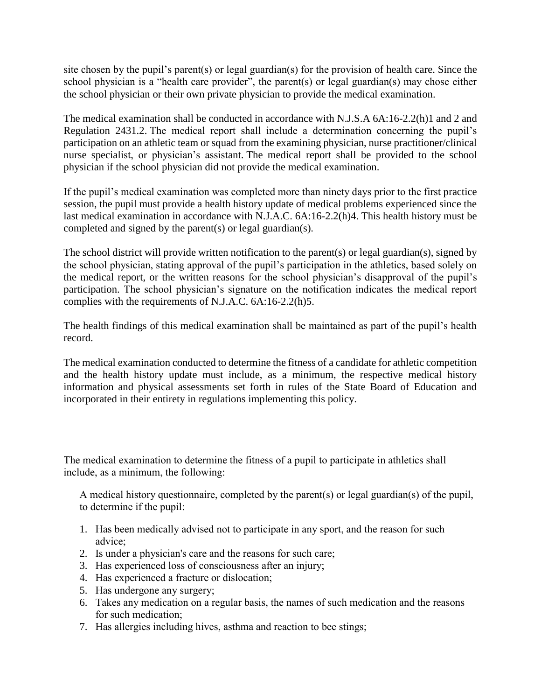site chosen by the pupil's parent(s) or legal guardian(s) for the provision of health care. Since the school physician is a "health care provider", the parent(s) or legal guardian(s) may chose either the school physician or their own private physician to provide the medical examination.

The medical examination shall be conducted in accordance with N.J.S.A 6A:16-2.2(h)1 and 2 and Regulation 2431.2. The medical report shall include a determination concerning the pupil's participation on an athletic team or squad from the examining physician, nurse practitioner/clinical nurse specialist, or physician's assistant. The medical report shall be provided to the school physician if the school physician did not provide the medical examination.

If the pupil's medical examination was completed more than ninety days prior to the first practice session, the pupil must provide a health history update of medical problems experienced since the last medical examination in accordance with N.J.A.C. 6A:16-2.2(h)4. This health history must be completed and signed by the parent(s) or legal guardian(s).

The school district will provide written notification to the parent(s) or legal guardian(s), signed by the school physician, stating approval of the pupil's participation in the athletics, based solely on the medical report, or the written reasons for the school physician's disapproval of the pupil's participation. The school physician's signature on the notification indicates the medical report complies with the requirements of N.J.A.C. 6A:16-2.2(h)5.

The health findings of this medical examination shall be maintained as part of the pupil's health record.

The medical examination conducted to determine the fitness of a candidate for athletic competition and the health history update must include, as a minimum, the respective medical history information and physical assessments set forth in rules of the State Board of Education and incorporated in their entirety in regulations implementing this policy.

The medical examination to determine the fitness of a pupil to participate in athletics shall include, as a minimum, the following:

A medical history questionnaire, completed by the parent(s) or legal guardian(s) of the pupil, to determine if the pupil:

- 1. Has been medically advised not to participate in any sport, and the reason for such advice;
- 2. Is under a physician's care and the reasons for such care;
- 3. Has experienced loss of consciousness after an injury;
- 4. Has experienced a fracture or dislocation;
- 5. Has undergone any surgery;
- 6. Takes any medication on a regular basis, the names of such medication and the reasons for such medication;
- 7. Has allergies including hives, asthma and reaction to bee stings;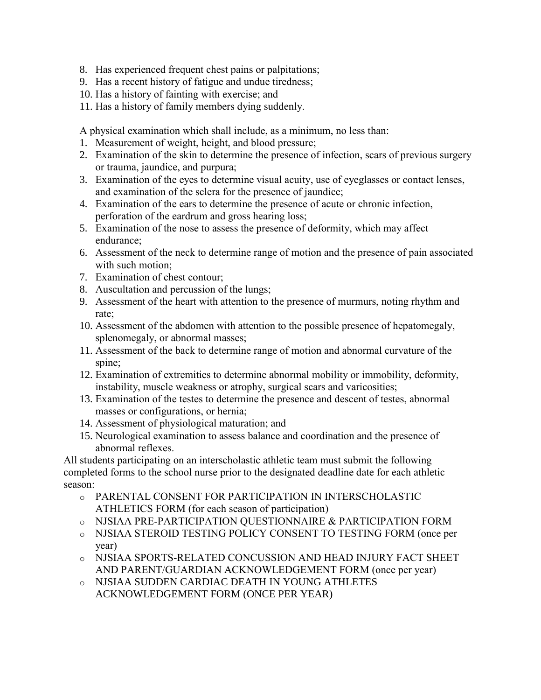- 8. Has experienced frequent chest pains or palpitations;
- 9. Has a recent history of fatigue and undue tiredness;
- 10. Has a history of fainting with exercise; and
- 11. Has a history of family members dying suddenly.

A physical examination which shall include, as a minimum, no less than:

- 1. Measurement of weight, height, and blood pressure;
- 2. Examination of the skin to determine the presence of infection, scars of previous surgery or trauma, jaundice, and purpura;
- 3. Examination of the eyes to determine visual acuity, use of eyeglasses or contact lenses, and examination of the sclera for the presence of jaundice;
- 4. Examination of the ears to determine the presence of acute or chronic infection, perforation of the eardrum and gross hearing loss;
- 5. Examination of the nose to assess the presence of deformity, which may affect endurance;
- 6. Assessment of the neck to determine range of motion and the presence of pain associated with such motion:
- 7. Examination of chest contour;
- 8. Auscultation and percussion of the lungs;
- 9. Assessment of the heart with attention to the presence of murmurs, noting rhythm and rate;
- 10. Assessment of the abdomen with attention to the possible presence of hepatomegaly, splenomegaly, or abnormal masses;
- 11. Assessment of the back to determine range of motion and abnormal curvature of the spine;
- 12. Examination of extremities to determine abnormal mobility or immobility, deformity, instability, muscle weakness or atrophy, surgical scars and varicosities;
- 13. Examination of the testes to determine the presence and descent of testes, abnormal masses or configurations, or hernia;
- 14. Assessment of physiological maturation; and
- 15. Neurological examination to assess balance and coordination and the presence of abnormal reflexes.

All students participating on an interscholastic athletic team must submit the following completed forms to the school nurse prior to the designated deadline date for each athletic season:

- o PARENTAL CONSENT FOR PARTICIPATION IN INTERSCHOLASTIC ATHLETICS FORM (for each season of participation)
- o NJSIAA PRE-PARTICIPATION QUESTIONNAIRE & PARTICIPATION FORM
- o NJSIAA STEROID TESTING POLICY CONSENT TO TESTING FORM (once per year)
- o NJSIAA SPORTS-RELATED CONCUSSION AND HEAD INJURY FACT SHEET AND PARENT/GUARDIAN ACKNOWLEDGEMENT FORM (once per year)
- o NJSIAA SUDDEN CARDIAC DEATH IN YOUNG ATHLETES ACKNOWLEDGEMENT FORM (ONCE PER YEAR)